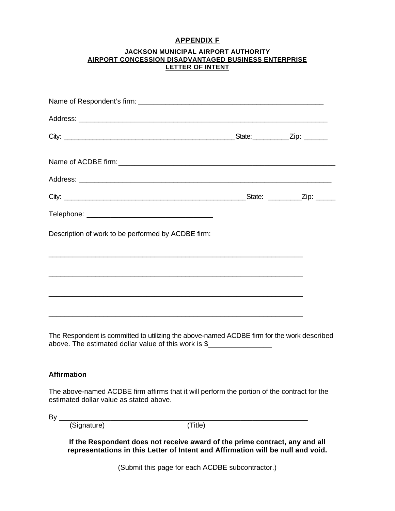# **APPENDIX F**

#### **JACKSON MUNICIPAL AIRPORT AUTHORITY AIRPORT CONCESSION DISADVANTAGED BUSINESS ENTERPRISE LETTER OF INTENT**

| Description of work to be performed by ACDBE firm:                                                                    |  |
|-----------------------------------------------------------------------------------------------------------------------|--|
|                                                                                                                       |  |
| <u> 1980 - Jan Barat de Barat de la contrada de la contrada de la contrada de la contrada de la contrada de la c</u>  |  |
|                                                                                                                       |  |
|                                                                                                                       |  |
| <u> 1989 - Johann Stoff, deutscher Stoff, der Stoff, der Stoff, der Stoff, der Stoff, der Stoff, der Stoff, der S</u> |  |

### **Affirmation**

The above-named ACDBE firm affirms that it will perform the portion of the contract for the estimated dollar value as stated above.

By \_\_\_\_\_\_\_\_\_\_\_\_\_\_\_\_\_\_\_\_\_\_\_\_\_\_\_\_\_\_\_\_\_\_\_\_\_\_\_\_\_\_\_\_\_\_\_\_\_\_\_\_\_\_\_\_\_\_\_\_\_\_\_

(Signature) (Title)

**If the Respondent does not receive award of the prime contract, any and all representations in this Letter of Intent and Affirmation will be null and void.** 

(Submit this page for each ACDBE subcontractor.)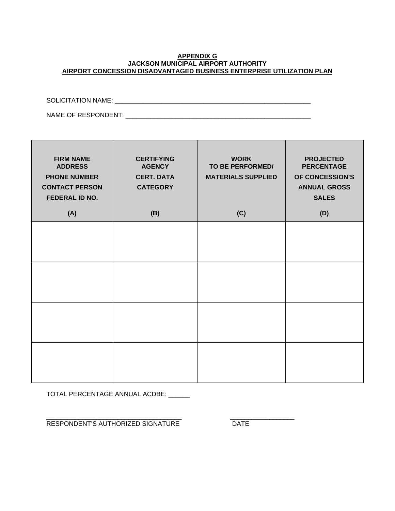#### **APPENDIX G JACKSON MUNICIPAL AIRPORT AUTHORITY AIRPORT CONCESSION DISADVANTAGED BUSINESS ENTERPRISE UTILIZATION PLAN**

SOLICITATION NAME: \_\_\_\_\_\_\_\_\_\_\_\_\_\_\_\_\_\_\_\_\_\_\_\_\_\_\_\_\_\_\_\_\_\_\_\_\_\_\_\_\_\_\_\_\_\_\_\_\_\_\_\_\_\_\_

NAME OF RESPONDENT: \_\_\_\_\_\_\_\_\_\_\_\_\_\_\_\_\_\_\_\_\_\_\_\_\_\_\_\_\_\_\_\_\_\_\_\_\_\_\_\_\_\_\_\_\_\_\_\_\_\_\_\_

| <b>FIRM NAME</b><br><b>ADDRESS</b><br><b>PHONE NUMBER</b><br><b>CONTACT PERSON</b><br><b>FEDERAL ID NO.</b> | <b>CERTIFYING</b><br><b>AGENCY</b><br><b>CERT. DATA</b><br><b>CATEGORY</b> | <b>WORK</b><br>TO BE PERFORMED/<br><b>MATERIALS SUPPLIED</b> | <b>PROJECTED</b><br><b>PERCENTAGE</b><br>OF CONCESSION'S<br><b>ANNUAL GROSS</b><br><b>SALES</b> |
|-------------------------------------------------------------------------------------------------------------|----------------------------------------------------------------------------|--------------------------------------------------------------|-------------------------------------------------------------------------------------------------|
| (A)                                                                                                         | (B)                                                                        | (C)                                                          | (D)                                                                                             |
|                                                                                                             |                                                                            |                                                              |                                                                                                 |
|                                                                                                             |                                                                            |                                                              |                                                                                                 |
|                                                                                                             |                                                                            |                                                              |                                                                                                 |
|                                                                                                             |                                                                            |                                                              |                                                                                                 |

TOTAL PERCENTAGE ANNUAL ACDBE: \_\_\_\_\_\_

\_\_\_\_\_\_\_\_\_\_\_\_\_\_\_\_\_\_\_\_\_\_\_\_\_\_\_\_\_\_\_\_\_\_\_\_\_\_ \_\_\_\_\_\_\_\_\_\_\_\_\_\_\_\_\_\_ RESPONDENT'S AUTHORIZED SIGNATURE DATE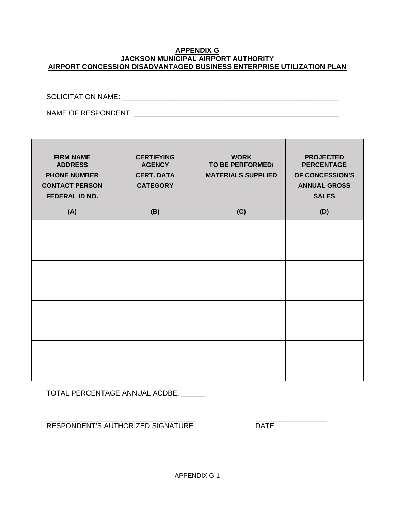#### **APPENDIX G JACKSON MUNICIPAL AIRPORT AUTHORITY AIRPORT CONCESSION DISADVANTAGED BUSINESS ENTERPRISE UTILIZATION PLAN**

SOLICITATION NAME: \_\_\_\_\_\_\_\_\_\_\_\_\_\_\_\_\_\_\_\_\_\_\_\_\_\_\_\_\_\_\_\_\_\_\_\_\_\_\_\_\_\_\_\_\_\_\_\_\_\_\_\_\_\_\_

NAME OF RESPONDENT: \_\_\_\_\_\_\_\_\_\_\_\_\_\_\_\_\_\_\_\_\_\_\_\_\_\_\_\_\_\_\_\_\_\_\_\_\_\_\_\_\_\_\_\_\_\_\_\_\_\_\_\_

| <b>FIRM NAME</b><br><b>ADDRESS</b><br><b>PHONE NUMBER</b><br><b>CONTACT PERSON</b><br><b>FEDERAL ID NO.</b> | <b>CERTIFYING</b><br><b>AGENCY</b><br><b>CERT. DATA</b><br><b>CATEGORY</b> | <b>WORK</b><br>TO BE PERFORMED/<br><b>MATERIALS SUPPLIED</b> | <b>PROJECTED</b><br><b>PERCENTAGE</b><br>OF CONCESSION'S<br><b>ANNUAL GROSS</b><br><b>SALES</b> |
|-------------------------------------------------------------------------------------------------------------|----------------------------------------------------------------------------|--------------------------------------------------------------|-------------------------------------------------------------------------------------------------|
| (A)                                                                                                         | (B)                                                                        | (C)                                                          | (D)                                                                                             |
|                                                                                                             |                                                                            |                                                              |                                                                                                 |
|                                                                                                             |                                                                            |                                                              |                                                                                                 |
|                                                                                                             |                                                                            |                                                              |                                                                                                 |
|                                                                                                             |                                                                            |                                                              |                                                                                                 |

TOTAL PERCENTAGE ANNUAL ACDBE: \_\_\_\_\_\_

\_\_\_\_\_\_\_\_\_\_\_\_\_\_\_\_\_\_\_\_\_\_\_\_\_\_\_\_\_\_\_\_\_\_\_\_\_\_ \_\_\_\_\_\_\_\_\_\_\_\_\_\_\_\_\_\_ RESPONDENT'S AUTHORIZED SIGNATURE DATE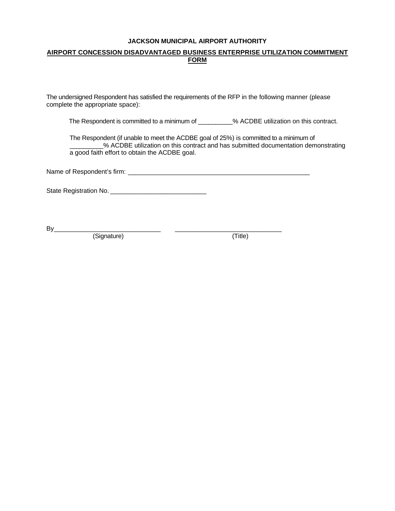#### **JACKSON MUNICIPAL AIRPORT AUTHORITY**

#### **AIRPORT CONCESSION DISADVANTAGED BUSINESS ENTERPRISE UTILIZATION COMMITMENT FORM**

The undersigned Respondent has satisfied the requirements of the RFP in the following manner (please complete the appropriate space):

The Respondent is committed to a minimum of  $\hspace{1cm}$  % ACDBE utilization on this contract.

The Respondent (if unable to meet the ACDBE goal of 25%) is committed to a minimum of \_% ACDBE utilization on this contract and has submitted documentation demonstrating a good faith effort to obtain the ACDBE goal.

Name of Respondent's firm: \_\_\_\_\_\_\_\_\_\_\_\_\_\_\_\_\_\_\_\_\_\_\_\_\_\_\_\_\_\_\_\_\_\_\_\_\_\_\_\_\_\_\_\_\_\_\_\_\_\_\_

State Registration No. \_\_\_\_\_\_\_\_\_\_\_\_\_\_\_\_\_\_\_\_\_\_\_\_\_\_\_

By\_\_\_\_\_\_\_\_\_\_\_\_\_\_\_\_\_\_\_\_\_\_\_\_\_\_\_\_\_\_ \_\_\_\_\_\_\_\_\_\_\_\_\_\_\_\_\_\_\_\_\_\_\_\_\_\_\_\_\_\_

(Signature) (Title)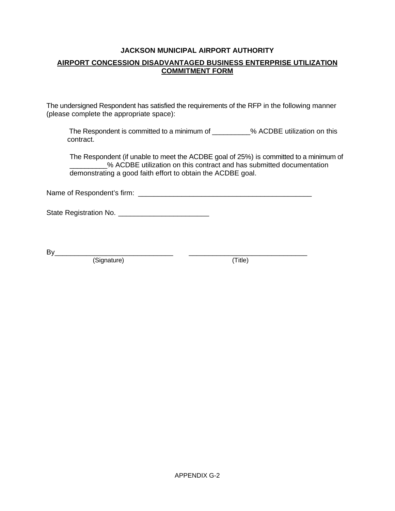#### **JACKSON MUNICIPAL AIRPORT AUTHORITY**

# **AIRPORT CONCESSION DISADVANTAGED BUSINESS ENTERPRISE UTILIZATION COMMITMENT FORM**

The undersigned Respondent has satisfied the requirements of the RFP in the following manner (please complete the appropriate space):

The Respondent is committed to a minimum of \_\_\_\_\_\_\_\_\_\_% ACDBE utilization on this contract.

The Respondent (if unable to meet the ACDBE goal of 25%) is committed to a minimum of \_\_\_\_\_\_\_\_\_\_% ACDBE utilization on this contract and has submitted documentation demonstrating a good faith effort to obtain the ACDBE goal.

Name of Respondent's firm: \_\_\_\_\_\_\_\_\_\_\_\_\_\_\_\_\_\_\_\_\_\_\_\_\_\_\_\_\_\_\_\_\_\_\_\_\_\_\_\_\_\_\_\_

State Registration No. \_\_\_\_\_\_\_\_\_\_\_\_\_\_\_\_\_\_\_\_\_\_\_

 $\n By \n (Signature)$   $\n (Title)$ (Signature)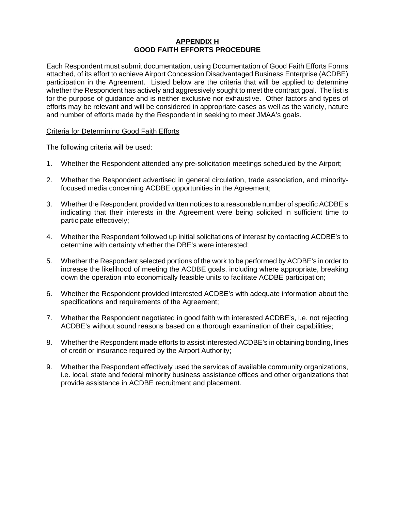#### **APPENDIX H GOOD FAITH EFFORTS PROCEDURE**

Each Respondent must submit documentation, using Documentation of Good Faith Efforts Forms attached, of its effort to achieve Airport Concession Disadvantaged Business Enterprise (ACDBE) participation in the Agreement. Listed below are the criteria that will be applied to determine whether the Respondent has actively and aggressively sought to meet the contract goal. The list is for the purpose of guidance and is neither exclusive nor exhaustive. Other factors and types of efforts may be relevant and will be considered in appropriate cases as well as the variety, nature and number of efforts made by the Respondent in seeking to meet JMAA's goals.

#### Criteria for Determining Good Faith Efforts

The following criteria will be used:

- 1. Whether the Respondent attended any pre-solicitation meetings scheduled by the Airport;
- 2. Whether the Respondent advertised in general circulation, trade association, and minorityfocused media concerning ACDBE opportunities in the Agreement;
- 3. Whether the Respondent provided written notices to a reasonable number of specific ACDBE's indicating that their interests in the Agreement were being solicited in sufficient time to participate effectively;
- 4. Whether the Respondent followed up initial solicitations of interest by contacting ACDBE's to determine with certainty whether the DBE's were interested;
- 5. Whether the Respondent selected portions of the work to be performed by ACDBE's in order to increase the likelihood of meeting the ACDBE goals, including where appropriate, breaking down the operation into economically feasible units to facilitate ACDBE participation;
- 6. Whether the Respondent provided interested ACDBE's with adequate information about the specifications and requirements of the Agreement;
- 7. Whether the Respondent negotiated in good faith with interested ACDBE's, i.e. not rejecting ACDBE's without sound reasons based on a thorough examination of their capabilities;
- 8. Whether the Respondent made efforts to assist interested ACDBE's in obtaining bonding, lines of credit or insurance required by the Airport Authority;
- 9. Whether the Respondent effectively used the services of available community organizations, i.e. local, state and federal minority business assistance offices and other organizations that provide assistance in ACDBE recruitment and placement.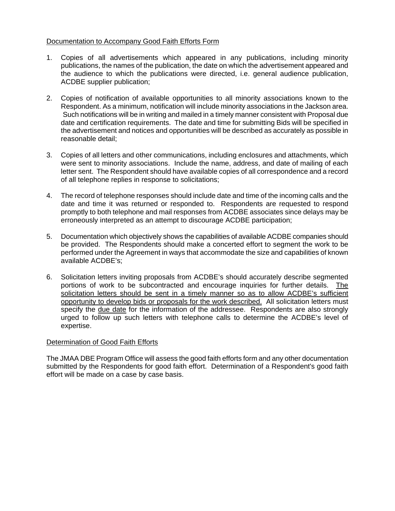#### Documentation to Accompany Good Faith Efforts Form

- 1. Copies of all advertisements which appeared in any publications, including minority publications, the names of the publication, the date on which the advertisement appeared and the audience to which the publications were directed, i.e. general audience publication, ACDBE supplier publication;
- 2. Copies of notification of available opportunities to all minority associations known to the Respondent. As a minimum, notification will include minority associations in the Jackson area. Such notifications will be in writing and mailed in a timely manner consistent with Proposal due date and certification requirements. The date and time for submitting Bids will be specified in the advertisement and notices and opportunities will be described as accurately as possible in reasonable detail;
- 3. Copies of all letters and other communications, including enclosures and attachments, which were sent to minority associations. Include the name, address, and date of mailing of each letter sent. The Respondent should have available copies of all correspondence and a record of all telephone replies in response to solicitations;
- 4. The record of telephone responses should include date and time of the incoming calls and the date and time it was returned or responded to. Respondents are requested to respond promptly to both telephone and mail responses from ACDBE associates since delays may be erroneously interpreted as an attempt to discourage ACDBE participation;
- 5. Documentation which objectively shows the capabilities of available ACDBE companies should be provided. The Respondents should make a concerted effort to segment the work to be performed under the Agreement in ways that accommodate the size and capabilities of known available ACDBE's;
- 6. Solicitation letters inviting proposals from ACDBE's should accurately describe segmented portions of work to be subcontracted and encourage inquiries for further details. The solicitation letters should be sent in a timely manner so as to allow ACDBE's sufficient opportunity to develop bids or proposals for the work described. All solicitation letters must specify the due date for the information of the addressee. Respondents are also strongly urged to follow up such letters with telephone calls to determine the ACDBE's level of expertise.

#### Determination of Good Faith Efforts

The JMAA DBE Program Office will assess the good faith efforts form and any other documentation submitted by the Respondents for good faith effort. Determination of a Respondent's good faith effort will be made on a case by case basis.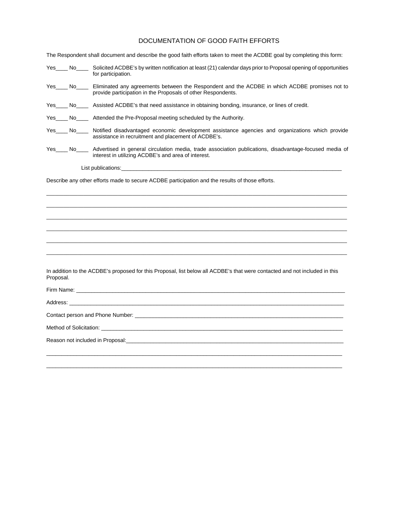|  | DOCUMENTATION OF GOOD FAITH EFFORTS |
|--|-------------------------------------|
|--|-------------------------------------|

The Respondent shall document and describe the good faith efforts taken to meet the ACDBE goal by completing this form:

| Yes       | Solicited ACDBE's by written notification at least (21) calendar days prior to Proposal opening of opportunities<br>No<br>for participation.                        |                                                                                                                                                                                                                               |  |  |
|-----------|---------------------------------------------------------------------------------------------------------------------------------------------------------------------|-------------------------------------------------------------------------------------------------------------------------------------------------------------------------------------------------------------------------------|--|--|
| Yes       | Eliminated any agreements between the Respondent and the ACDBE in which ACDBE promises not to<br>No<br>provide participation in the Proposals of other Respondents. |                                                                                                                                                                                                                               |  |  |
| Yes       |                                                                                                                                                                     | No <sub>____</sub> Assisted ACDBE's that need assistance in obtaining bonding, insurance, or lines of credit.                                                                                                                 |  |  |
| Yes       |                                                                                                                                                                     | No <sub>____</sub> Attended the Pre-Proposal meeting scheduled by the Authority.                                                                                                                                              |  |  |
| Yes       | No                                                                                                                                                                  | Notified disadvantaged economic development assistance agencies and organizations which provide<br>assistance in recruitment and placement of ACDBE's.                                                                        |  |  |
| Yes       | No l                                                                                                                                                                | Advertised in general circulation media, trade association publications, disadvantage-focused media of<br>interest in utilizing ACDBE's and area of interest.                                                                 |  |  |
|           |                                                                                                                                                                     |                                                                                                                                                                                                                               |  |  |
|           |                                                                                                                                                                     | Describe any other efforts made to secure ACDBE participation and the results of those efforts.                                                                                                                               |  |  |
|           |                                                                                                                                                                     |                                                                                                                                                                                                                               |  |  |
|           |                                                                                                                                                                     |                                                                                                                                                                                                                               |  |  |
|           |                                                                                                                                                                     |                                                                                                                                                                                                                               |  |  |
|           |                                                                                                                                                                     |                                                                                                                                                                                                                               |  |  |
|           |                                                                                                                                                                     |                                                                                                                                                                                                                               |  |  |
|           |                                                                                                                                                                     |                                                                                                                                                                                                                               |  |  |
| Proposal. |                                                                                                                                                                     | In addition to the ACDBE's proposed for this Proposal, list below all ACDBE's that were contacted and not included in this                                                                                                    |  |  |
|           |                                                                                                                                                                     |                                                                                                                                                                                                                               |  |  |
|           |                                                                                                                                                                     |                                                                                                                                                                                                                               |  |  |
|           |                                                                                                                                                                     | Contact person and Phone Number: example and the control of the control of the control of the control of the control of the control of the control of the control of the control of the control of the control of the control |  |  |
|           |                                                                                                                                                                     |                                                                                                                                                                                                                               |  |  |
|           |                                                                                                                                                                     |                                                                                                                                                                                                                               |  |  |
|           |                                                                                                                                                                     |                                                                                                                                                                                                                               |  |  |

 $\_$  ,  $\_$  ,  $\_$  ,  $\_$  ,  $\_$  ,  $\_$  ,  $\_$  ,  $\_$  ,  $\_$  ,  $\_$  ,  $\_$  ,  $\_$  ,  $\_$  ,  $\_$  ,  $\_$  ,  $\_$  ,  $\_$  ,  $\_$  ,  $\_$  ,  $\_$  ,  $\_$  ,  $\_$  ,  $\_$  ,  $\_$  ,  $\_$  ,  $\_$  ,  $\_$  ,  $\_$  ,  $\_$  ,  $\_$  ,  $\_$  ,  $\_$  ,  $\_$  ,  $\_$  ,  $\_$  ,  $\_$  ,  $\_$  ,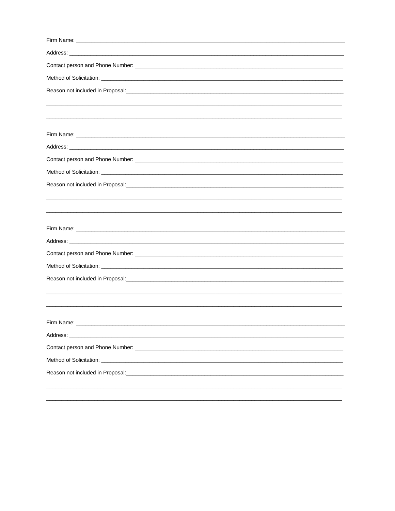| Reason not included in Proposal: example and a series of the series of the series of the series of the series of the series of the series of the series of the series of the series of the series of the series of the series    |
|----------------------------------------------------------------------------------------------------------------------------------------------------------------------------------------------------------------------------------|
|                                                                                                                                                                                                                                  |
| ,我们也不能在这里的人,我们也不能在这里的人,我们也不能在这里的人,我们也不能在这里的人,我们也不能在这里的人,我们也不能在这里的人,我们也不能在这里的人,我们也                                                                                                                                                |
|                                                                                                                                                                                                                                  |
|                                                                                                                                                                                                                                  |
|                                                                                                                                                                                                                                  |
|                                                                                                                                                                                                                                  |
|                                                                                                                                                                                                                                  |
| Reason not included in Proposal:<br>and the contract of the contract of the contract of the contract of the contract of the contract of the contract of the contract of the contract of the contract of the contract of the cont |
|                                                                                                                                                                                                                                  |
|                                                                                                                                                                                                                                  |
|                                                                                                                                                                                                                                  |
| Firm Name:                                                                                                                                                                                                                       |
|                                                                                                                                                                                                                                  |
|                                                                                                                                                                                                                                  |
|                                                                                                                                                                                                                                  |
| Reason not included in Proposal: entertainment and the control of the control of the control of the control of                                                                                                                   |
|                                                                                                                                                                                                                                  |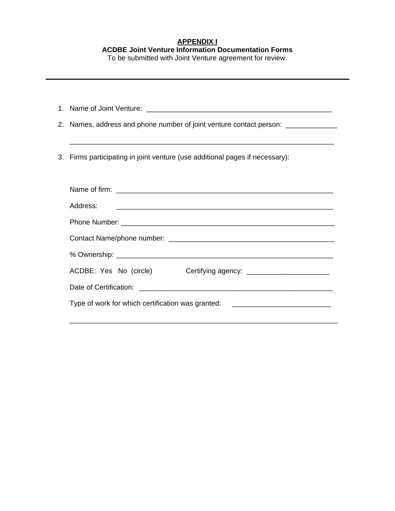# **APPENDIX I ACDBE Joint Venture Information Documentation Forms**

To be submitted with Joint Venture agreement for review.

| 1. Name of Joint Venture:                                                        |  |  |
|----------------------------------------------------------------------------------|--|--|
| 2. Names, address and phone number of joint venture contact person: ____________ |  |  |
| 3. Firms participating in joint venture (use additional pages if necessary):     |  |  |
|                                                                                  |  |  |
| Address:                                                                         |  |  |
|                                                                                  |  |  |
|                                                                                  |  |  |
|                                                                                  |  |  |
| ACDBE: Yes No (circle)                                                           |  |  |
|                                                                                  |  |  |
| Type of work for which certification was granted: ______________________________ |  |  |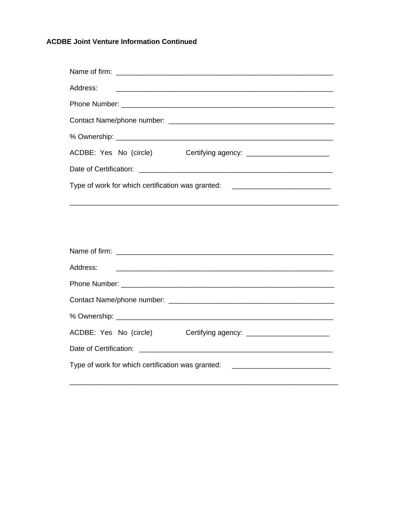| Address:<br><u> 1989 - Johann John Stein, markin film ar yn y brenin y brenin y brenin y brenin y brenin y brenin y brenin y</u> |
|----------------------------------------------------------------------------------------------------------------------------------|
|                                                                                                                                  |
|                                                                                                                                  |
|                                                                                                                                  |
| ACDBE: Yes No (circle)<br>Certifying agency: ___________________________                                                         |
|                                                                                                                                  |
| Type of work for which certification was granted: ______________________________                                                 |
|                                                                                                                                  |
|                                                                                                                                  |
|                                                                                                                                  |
|                                                                                                                                  |
| Address:                                                                                                                         |
|                                                                                                                                  |
|                                                                                                                                  |
|                                                                                                                                  |
|                                                                                                                                  |
|                                                                                                                                  |
|                                                                                                                                  |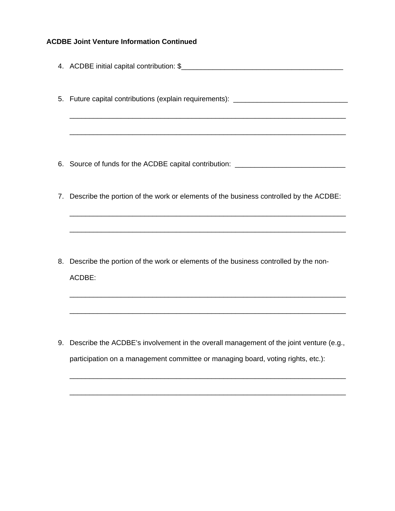|    | 4. ACDBE initial capital contribution: \$                                             |
|----|---------------------------------------------------------------------------------------|
|    | 5. Future capital contributions (explain requirements): ________________________      |
|    |                                                                                       |
|    |                                                                                       |
|    | 6. Source of funds for the ACDBE capital contribution: _________________________      |
|    |                                                                                       |
| 7. | Describe the portion of the work or elements of the business controlled by the ACDBE: |
|    |                                                                                       |
|    |                                                                                       |
|    |                                                                                       |
|    |                                                                                       |
| 8. | Describe the portion of the work or elements of the business controlled by the non-   |
|    | ACDBE:                                                                                |
|    |                                                                                       |
|    |                                                                                       |
|    |                                                                                       |
|    |                                                                                       |

9. Describe the ACDBE's involvement in the overall management of the joint venture (e.g., participation on a management committee or managing board, voting rights, etc.):

\_\_\_\_\_\_\_\_\_\_\_\_\_\_\_\_\_\_\_\_\_\_\_\_\_\_\_\_\_\_\_\_\_\_\_\_\_\_\_\_\_\_\_\_\_\_\_\_\_\_\_\_\_\_\_\_\_\_\_\_\_\_\_\_\_\_\_\_\_\_

\_\_\_\_\_\_\_\_\_\_\_\_\_\_\_\_\_\_\_\_\_\_\_\_\_\_\_\_\_\_\_\_\_\_\_\_\_\_\_\_\_\_\_\_\_\_\_\_\_\_\_\_\_\_\_\_\_\_\_\_\_\_\_\_\_\_\_\_\_\_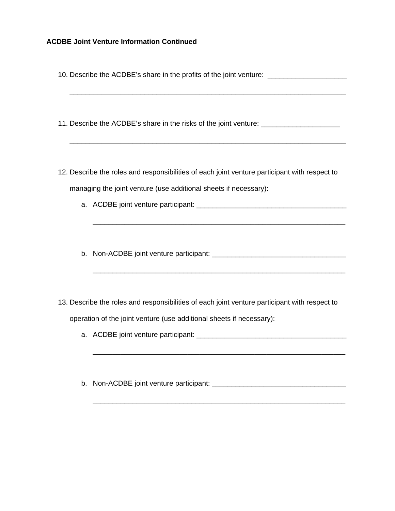10. Describe the ACDBE's share in the profits of the joint venture: \_\_\_\_\_\_\_\_\_\_\_\_\_

\_\_\_\_\_\_\_\_\_\_\_\_\_\_\_\_\_\_\_\_\_\_\_\_\_\_\_\_\_\_\_\_\_\_\_\_\_\_\_\_\_\_\_\_\_\_\_\_\_\_\_\_\_\_\_\_\_\_\_\_\_\_\_\_\_\_\_\_\_\_

\_\_\_\_\_\_\_\_\_\_\_\_\_\_\_\_\_\_\_\_\_\_\_\_\_\_\_\_\_\_\_\_\_\_\_\_\_\_\_\_\_\_\_\_\_\_\_\_\_\_\_\_\_\_\_\_\_\_\_\_\_\_\_\_\_\_\_\_\_\_

\_\_\_\_\_\_\_\_\_\_\_\_\_\_\_\_\_\_\_\_\_\_\_\_\_\_\_\_\_\_\_\_\_\_\_\_\_\_\_\_\_\_\_\_\_\_\_\_\_\_\_\_\_\_\_\_\_\_\_\_\_\_\_\_

\_\_\_\_\_\_\_\_\_\_\_\_\_\_\_\_\_\_\_\_\_\_\_\_\_\_\_\_\_\_\_\_\_\_\_\_\_\_\_\_\_\_\_\_\_\_\_\_\_\_\_\_\_\_\_\_\_\_\_\_\_\_\_\_

- 11. Describe the ACDBE's share in the risks of the joint venture: \_\_\_\_\_\_\_\_\_\_\_\_\_\_\_
- 12. Describe the roles and responsibilities of each joint venture participant with respect to managing the joint venture (use additional sheets if necessary):
	- a. ACDBE joint venture participant: \_\_\_\_\_\_\_\_\_\_\_\_\_\_\_\_\_\_\_\_\_\_\_\_\_\_\_\_\_\_\_\_\_\_\_\_\_\_
	- b. Non-ACDBE joint venture participant: \_\_\_\_\_\_\_\_\_\_\_\_\_\_\_\_\_\_\_\_\_\_\_\_\_\_\_\_\_\_\_\_\_\_
- 13. Describe the roles and responsibilities of each joint venture participant with respect to operation of the joint venture (use additional sheets if necessary):
	- a. ACDBE joint venture participant:

\_\_\_\_\_\_\_\_\_\_\_\_\_\_\_\_\_\_\_\_\_\_\_\_\_\_\_\_\_\_\_\_\_\_\_\_\_\_\_\_\_\_\_\_\_\_\_\_\_\_\_\_\_\_\_\_\_\_\_\_\_\_\_\_

\_\_\_\_\_\_\_\_\_\_\_\_\_\_\_\_\_\_\_\_\_\_\_\_\_\_\_\_\_\_\_\_\_\_\_\_\_\_\_\_\_\_\_\_\_\_\_\_\_\_\_\_\_\_\_\_\_\_\_\_\_\_\_\_

b. Non-ACDBE joint venture participant: \_\_\_\_\_\_\_\_\_\_\_\_\_\_\_\_\_\_\_\_\_\_\_\_\_\_\_\_\_\_\_\_\_\_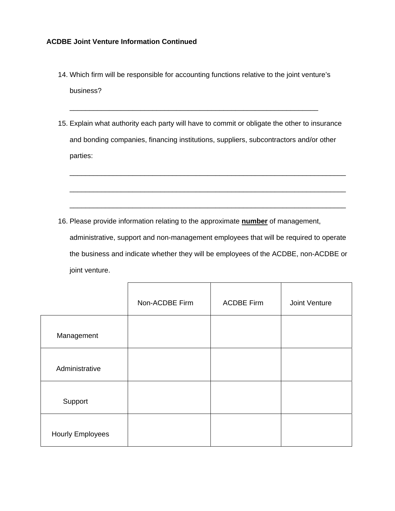14. Which firm will be responsible for accounting functions relative to the joint venture's business?

\_\_\_\_\_\_\_\_\_\_\_\_\_\_\_\_\_\_\_\_\_\_\_\_\_\_\_\_\_\_\_\_\_\_\_\_\_\_\_\_\_\_\_\_\_\_\_\_\_\_\_\_\_\_\_\_\_\_\_\_\_\_\_

15. Explain what authority each party will have to commit or obligate the other to insurance and bonding companies, financing institutions, suppliers, subcontractors and/or other parties:

\_\_\_\_\_\_\_\_\_\_\_\_\_\_\_\_\_\_\_\_\_\_\_\_\_\_\_\_\_\_\_\_\_\_\_\_\_\_\_\_\_\_\_\_\_\_\_\_\_\_\_\_\_\_\_\_\_\_\_\_\_\_\_\_\_\_\_\_\_\_

\_\_\_\_\_\_\_\_\_\_\_\_\_\_\_\_\_\_\_\_\_\_\_\_\_\_\_\_\_\_\_\_\_\_\_\_\_\_\_\_\_\_\_\_\_\_\_\_\_\_\_\_\_\_\_\_\_\_\_\_\_\_\_\_\_\_\_\_\_\_

16. Please provide information relating to the approximate **number** of management, administrative, support and non-management employees that will be required to operate the business and indicate whether they will be employees of the ACDBE, non-ACDBE or joint venture.

|                         | Non-ACDBE Firm | <b>ACDBE Firm</b> | Joint Venture |
|-------------------------|----------------|-------------------|---------------|
| Management              |                |                   |               |
| Administrative          |                |                   |               |
| Support                 |                |                   |               |
| <b>Hourly Employees</b> |                |                   |               |